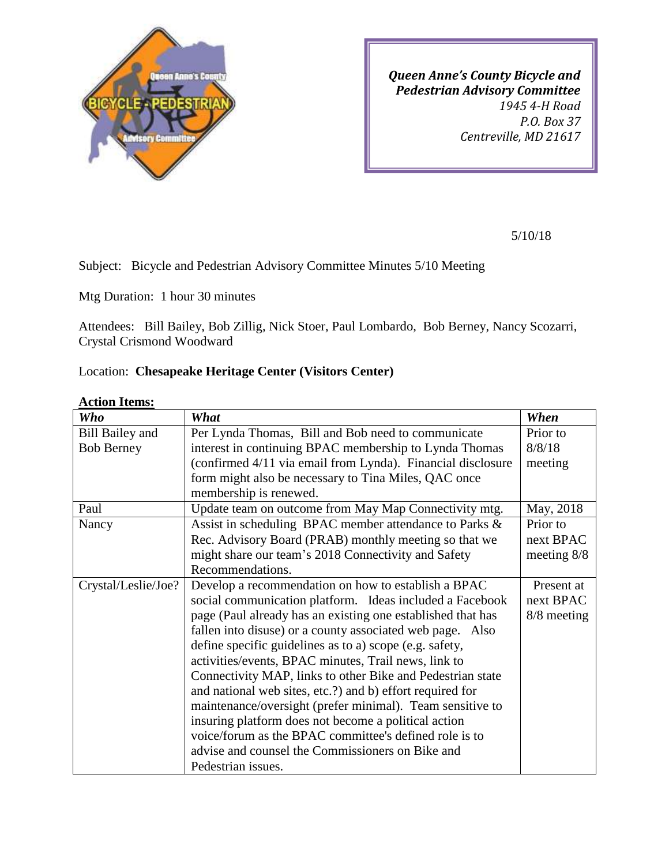

*Queen Anne's County Bicycle and Pedestrian Advisory Committee 1945 4-H Road P.O. Box 37 Centreville, MD 21617*

5/10/18

Subject: Bicycle and Pedestrian Advisory Committee Minutes 5/10 Meeting

Mtg Duration: 1 hour 30 minutes

Attendees: Bill Bailey, Bob Zillig, Nick Stoer, Paul Lombardo, Bob Berney, Nancy Scozarri, Crystal Crismond Woodward

## Location: **Chesapeake Heritage Center (Visitors Center)**

| Who                    | What                                                        | When          |
|------------------------|-------------------------------------------------------------|---------------|
| <b>Bill Bailey and</b> | Per Lynda Thomas, Bill and Bob need to communicate          | Prior to      |
| <b>Bob Berney</b>      | interest in continuing BPAC membership to Lynda Thomas      | 8/8/18        |
|                        | (confirmed 4/11 via email from Lynda). Financial disclosure | meeting       |
|                        | form might also be necessary to Tina Miles, QAC once        |               |
|                        | membership is renewed.                                      |               |
| Paul                   | Update team on outcome from May Map Connectivity mtg.       | May, 2018     |
| Nancy                  | Assist in scheduling BPAC member attendance to Parks &      | Prior to      |
|                        | Rec. Advisory Board (PRAB) monthly meeting so that we       | next BPAC     |
|                        | might share our team's 2018 Connectivity and Safety         | meeting $8/8$ |
|                        | Recommendations.                                            |               |
| Crystal/Leslie/Joe?    | Develop a recommendation on how to establish a BPAC         | Present at    |
|                        | social communication platform. Ideas included a Facebook    | next BPAC     |
|                        | page (Paul already has an existing one established that has | 8/8 meeting   |
|                        | fallen into disuse) or a county associated web page. Also   |               |
|                        | define specific guidelines as to a) scope (e.g. safety,     |               |
|                        | activities/events, BPAC minutes, Trail news, link to        |               |
|                        | Connectivity MAP, links to other Bike and Pedestrian state  |               |
|                        | and national web sites, etc.?) and b) effort required for   |               |
|                        | maintenance/oversight (prefer minimal). Team sensitive to   |               |
|                        | insuring platform does not become a political action        |               |
|                        | voice/forum as the BPAC committee's defined role is to      |               |
|                        | advise and counsel the Commissioners on Bike and            |               |
|                        | Pedestrian issues.                                          |               |